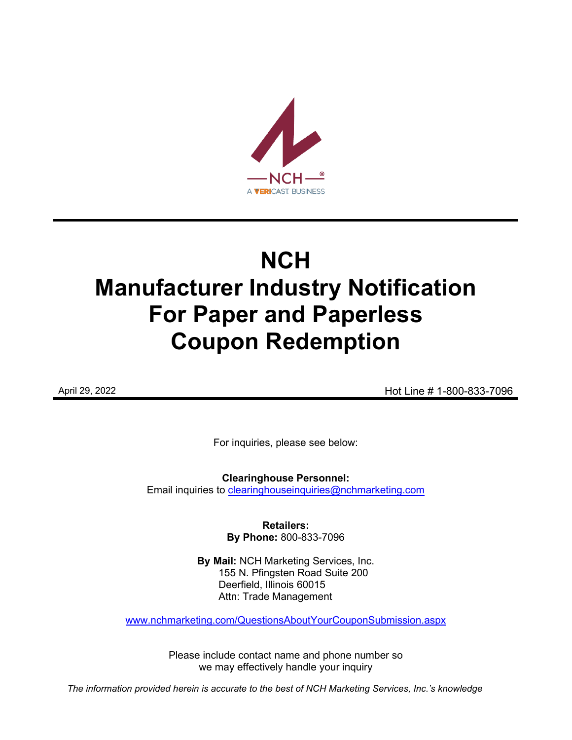

# **NCH Manufacturer Industry Notification For Paper and Paperless Coupon Redemption**

April 29, 2022 **Hot Line # 1-800-833-7096** 

For inquiries, please see below:

**Clearinghouse Personnel:**  Email inquiries to [clearinghouseinquiries@nchmarketing.com](mailto:clearinghouseinquiries@nchmarketing.com)

> **Retailers: By Phone:** 800-833-7096

**By Mail:** NCH Marketing Services, Inc. 155 N. Pfingsten Road Suite 200 Deerfield, Illinois 60015 Attn: Trade Management

[www.nchmarketing.com/QuestionsAboutYourCouponSubmission.aspx](http://www.nchmarketing.com/QuestionsAboutYourCouponSubmission.aspx)

Please include contact name and phone number so we may effectively handle your inquiry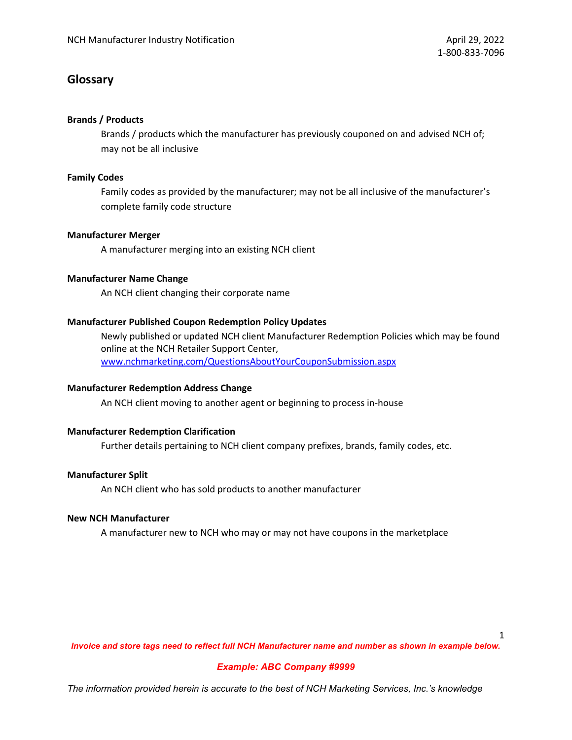# **Glossary**

## **Brands / Products**

Brands / products which the manufacturer has previously couponed on and advised NCH of; may not be all inclusive

## **Family Codes**

Family codes as provided by the manufacturer; may not be all inclusive of the manufacturer's complete family code structure

## **Manufacturer Merger**

A manufacturer merging into an existing NCH client

## **Manufacturer Name Change**

An NCH client changing their corporate name

## **Manufacturer Published Coupon Redemption Policy Updates**

Newly published or updated NCH client Manufacturer Redemption Policies which may be found online at the NCH Retailer Support Center, [www.nchmarketing.com/QuestionsAboutYourCouponSubmission.aspx](http://www.nchmarketing.com/QuestionsAboutYourCouponSubmission.aspx)

## **Manufacturer Redemption Address Change**

An NCH client moving to another agent or beginning to process in-house

## **Manufacturer Redemption Clarification**

Further details pertaining to NCH client company prefixes, brands, family codes, etc.

## **Manufacturer Split**

An NCH client who has sold products to another manufacturer

#### **New NCH Manufacturer**

A manufacturer new to NCH who may or may not have coupons in the marketplace

1

*Invoice and store tags need to reflect full NCH Manufacturer name and number as shown in example below.*

## *Example: ABC Company #9999*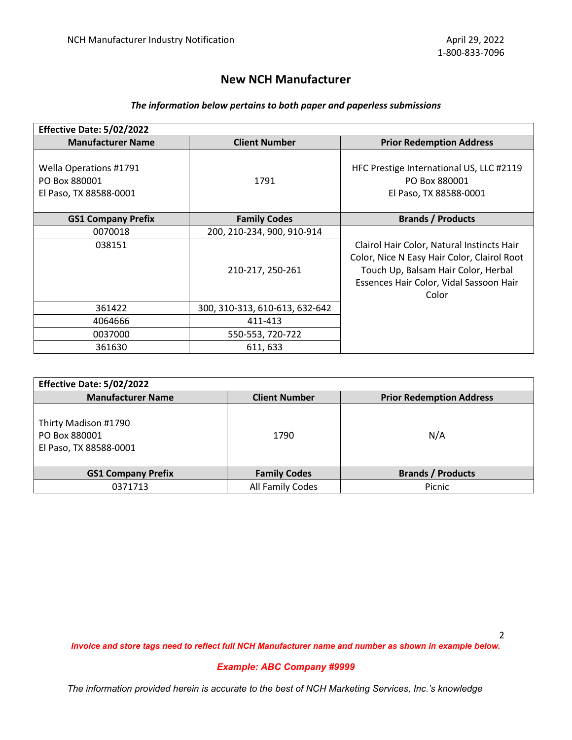# **New NCH Manufacturer**

# *The information below pertains to both paper and paperless submissions*

| Effective Date: 5/02/2022                                         |                                |                                                                                                                                                                                      |
|-------------------------------------------------------------------|--------------------------------|--------------------------------------------------------------------------------------------------------------------------------------------------------------------------------------|
| <b>Manufacturer Name</b>                                          | <b>Client Number</b>           | <b>Prior Redemption Address</b>                                                                                                                                                      |
| Wella Operations #1791<br>PO Box 880001<br>El Paso, TX 88588-0001 | 1791                           | HFC Prestige International US, LLC #2119<br>PO Box 880001<br>El Paso, TX 88588-0001                                                                                                  |
| <b>GS1 Company Prefix</b>                                         | <b>Family Codes</b>            | <b>Brands / Products</b>                                                                                                                                                             |
| 0070018                                                           | 200, 210-234, 900, 910-914     |                                                                                                                                                                                      |
| 038151                                                            | 210-217, 250-261               | Clairol Hair Color, Natural Instincts Hair<br>Color, Nice N Easy Hair Color, Clairol Root<br>Touch Up, Balsam Hair Color, Herbal<br>Essences Hair Color, Vidal Sassoon Hair<br>Color |
| 361422                                                            | 300, 310-313, 610-613, 632-642 |                                                                                                                                                                                      |
| 4064666                                                           | 411-413                        |                                                                                                                                                                                      |
| 0037000                                                           | 550-553, 720-722               |                                                                                                                                                                                      |
| 361630                                                            | 611, 633                       |                                                                                                                                                                                      |

| Effective Date: 5/02/2022                                       |                      |                                 |  |  |  |  |
|-----------------------------------------------------------------|----------------------|---------------------------------|--|--|--|--|
| <b>Manufacturer Name</b>                                        | <b>Client Number</b> | <b>Prior Redemption Address</b> |  |  |  |  |
| Thirty Madison #1790<br>PO Box 880001<br>El Paso, TX 88588-0001 | 1790                 | N/A                             |  |  |  |  |
| <b>GS1 Company Prefix</b>                                       | <b>Family Codes</b>  | <b>Brands / Products</b>        |  |  |  |  |
| 0371713                                                         | All Family Codes     | Picnic                          |  |  |  |  |

*Invoice and store tags need to reflect full NCH Manufacturer name and number as shown in example below.*

## *Example: ABC Company #9999*

*The information provided herein is accurate to the best of NCH Marketing Services, Inc.'s knowledge*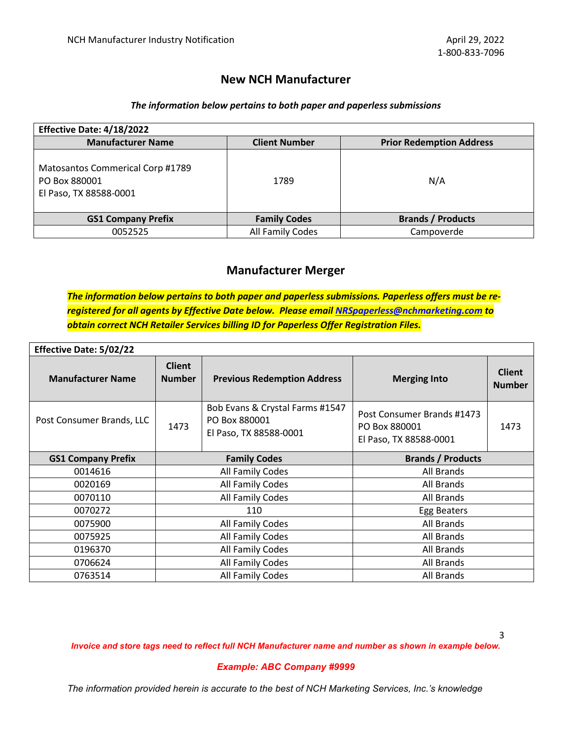# **New NCH Manufacturer**

## *The information below pertains to both paper and paperless submissions*

| Effective Date: 4/18/2022                                                   |                      |                                 |  |  |  |  |
|-----------------------------------------------------------------------------|----------------------|---------------------------------|--|--|--|--|
| <b>Manufacturer Name</b>                                                    | <b>Client Number</b> | <b>Prior Redemption Address</b> |  |  |  |  |
| Matosantos Commerical Corp #1789<br>PO Box 880001<br>El Paso, TX 88588-0001 | 1789                 | N/A                             |  |  |  |  |
| <b>GS1 Company Prefix</b>                                                   | <b>Family Codes</b>  | <b>Brands / Products</b>        |  |  |  |  |
| 0052525                                                                     | All Family Codes     | Campoverde                      |  |  |  |  |

# **Manufacturer Merger**

*The information below pertains to both paper and paperless submissions. Paperless offers must be reregistered for all agents by Effective Date below. Please email [NRSpaperless@nchmarketing.com](mailto:NRSpaperless@nchmarketing.com) to obtain correct NCH Retailer Services billing ID for Paperless Offer Registration Files.*

| <b>Effective Date: 5/02/22</b> |                                |                                                                            |                                                                       |                                |  |  |  |
|--------------------------------|--------------------------------|----------------------------------------------------------------------------|-----------------------------------------------------------------------|--------------------------------|--|--|--|
| <b>Manufacturer Name</b>       | <b>Client</b><br><b>Number</b> | <b>Previous Redemption Address</b>                                         | <b>Merging Into</b>                                                   | <b>Client</b><br><b>Number</b> |  |  |  |
| Post Consumer Brands, LLC      | 1473                           | Bob Evans & Crystal Farms #1547<br>PO Box 880001<br>El Paso, TX 88588-0001 | Post Consumer Brands #1473<br>PO Box 880001<br>El Paso, TX 88588-0001 | 1473                           |  |  |  |
| <b>GS1 Company Prefix</b>      |                                | <b>Family Codes</b>                                                        | <b>Brands / Products</b>                                              |                                |  |  |  |
| 0014616                        |                                | All Family Codes                                                           | All Brands                                                            |                                |  |  |  |
| 0020169                        |                                | All Family Codes                                                           | All Brands                                                            |                                |  |  |  |
| 0070110                        |                                | All Family Codes                                                           | All Brands                                                            |                                |  |  |  |
| 0070272                        |                                | 110                                                                        | Egg Beaters                                                           |                                |  |  |  |
| 0075900                        |                                | All Family Codes                                                           | All Brands                                                            |                                |  |  |  |
| 0075925                        |                                | All Family Codes                                                           | All Brands                                                            |                                |  |  |  |
| 0196370                        |                                | All Family Codes                                                           | All Brands                                                            |                                |  |  |  |
| 0706624                        |                                | All Family Codes                                                           | All Brands                                                            |                                |  |  |  |
| 0763514                        |                                | All Family Codes                                                           | All Brands                                                            |                                |  |  |  |

*Invoice and store tags need to reflect full NCH Manufacturer name and number as shown in example below.*

#### *Example: ABC Company #9999*

*The information provided herein is accurate to the best of NCH Marketing Services, Inc.'s knowledge*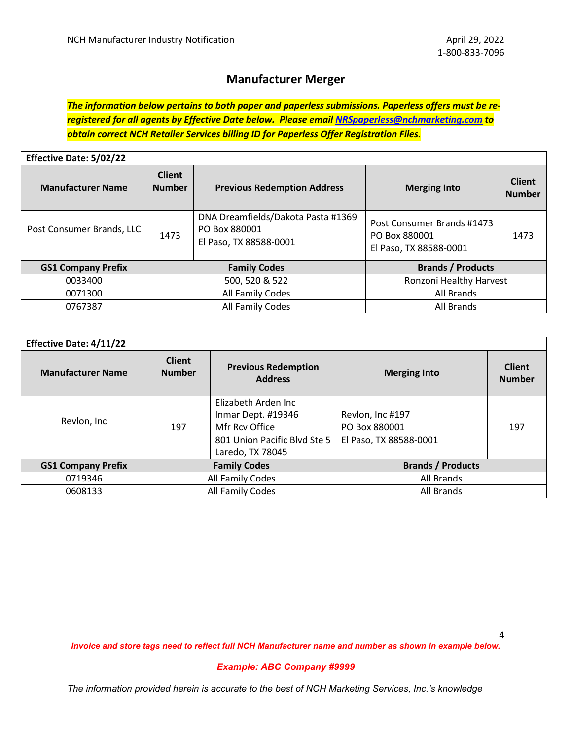# **Manufacturer Merger**

*The information below pertains to both paper and paperless submissions. Paperless offers must be reregistered for all agents by Effective Date below. Please email [NRSpaperless@nchmarketing.com](mailto:NRSpaperless@nchmarketing.com) to obtain correct NCH Retailer Services billing ID for Paperless Offer Registration Files.*

| <b>Effective Date: 5/02/22</b> |                                |                                                                               |                                                                       |                                |  |  |  |
|--------------------------------|--------------------------------|-------------------------------------------------------------------------------|-----------------------------------------------------------------------|--------------------------------|--|--|--|
| <b>Manufacturer Name</b>       | <b>Client</b><br><b>Number</b> | <b>Previous Redemption Address</b>                                            | <b>Merging Into</b>                                                   | <b>Client</b><br><b>Number</b> |  |  |  |
| Post Consumer Brands, LLC      | 1473                           | DNA Dreamfields/Dakota Pasta #1369<br>PO Box 880001<br>El Paso, TX 88588-0001 | Post Consumer Brands #1473<br>PO Box 880001<br>El Paso, TX 88588-0001 | 1473                           |  |  |  |
| <b>GS1 Company Prefix</b>      |                                | <b>Family Codes</b>                                                           | <b>Brands / Products</b>                                              |                                |  |  |  |
| 0033400                        |                                | 500, 520 & 522                                                                | Ronzoni Healthy Harvest                                               |                                |  |  |  |
| 0071300                        |                                | All Family Codes                                                              | All Brands                                                            |                                |  |  |  |
| 0767387                        |                                | All Family Codes                                                              | All Brands                                                            |                                |  |  |  |

| <b>Effective Date: 4/11/22</b> |                                |                                                                                                                 |                                                             |                                |
|--------------------------------|--------------------------------|-----------------------------------------------------------------------------------------------------------------|-------------------------------------------------------------|--------------------------------|
| <b>Manufacturer Name</b>       | <b>Client</b><br><b>Number</b> | <b>Previous Redemption</b><br><b>Address</b>                                                                    | <b>Merging Into</b>                                         | <b>Client</b><br><b>Number</b> |
| Revlon, Inc                    | 197                            | Elizabeth Arden Inc<br>Inmar Dept. #19346<br>Mfr Rcy Office<br>801 Union Pacific Blyd Ste 5<br>Laredo, TX 78045 | Revlon, Inc #197<br>PO Box 880001<br>El Paso, TX 88588-0001 | 197                            |
| <b>GS1 Company Prefix</b>      | <b>Family Codes</b>            |                                                                                                                 | <b>Brands / Products</b>                                    |                                |
| 0719346                        |                                | All Family Codes                                                                                                | All Brands                                                  |                                |
| 0608133                        | All Family Codes               |                                                                                                                 | All Brands                                                  |                                |

*Invoice and store tags need to reflect full NCH Manufacturer name and number as shown in example below.*

#### *Example: ABC Company #9999*

*The information provided herein is accurate to the best of NCH Marketing Services, Inc.'s knowledge*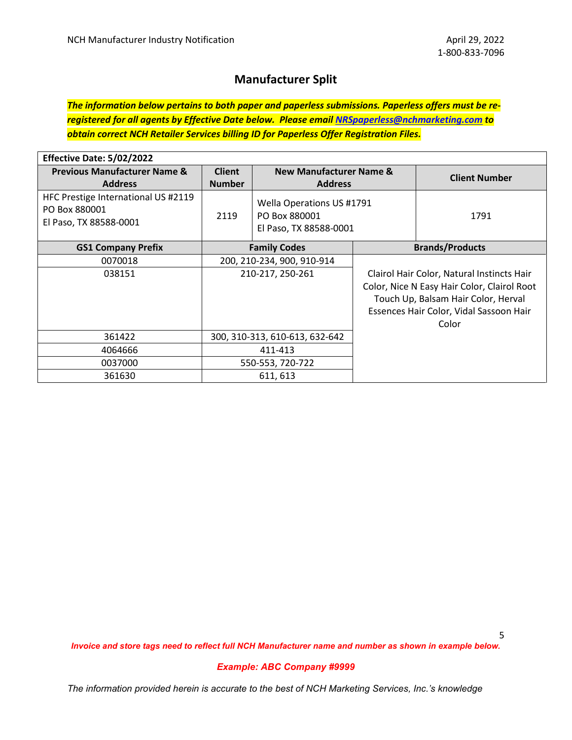# **Manufacturer Split**

*The information below pertains to both paper and paperless submissions. Paperless offers must be reregistered for all agents by Effective Date below. Please email [NRSpaperless@nchmarketing.com](mailto:NRSpaperless@nchmarketing.com) to obtain correct NCH Retailer Services billing ID for Paperless Offer Registration Files.*

| Effective Date: 5/02/2022                                                      |                                |                                                                      |  |                                                                                                                                                                                      |
|--------------------------------------------------------------------------------|--------------------------------|----------------------------------------------------------------------|--|--------------------------------------------------------------------------------------------------------------------------------------------------------------------------------------|
| <b>Previous Manufacturer Name &amp;</b><br><b>Address</b>                      | <b>Client</b><br><b>Number</b> | <b>New Manufacturer Name &amp;</b><br><b>Address</b>                 |  | <b>Client Number</b>                                                                                                                                                                 |
| HFC Prestige International US #2119<br>PO Box 880001<br>El Paso, TX 88588-0001 | 2119                           | Wella Operations US #1791<br>PO Box 880001<br>El Paso, TX 88588-0001 |  | 1791                                                                                                                                                                                 |
| <b>GS1 Company Prefix</b>                                                      | <b>Family Codes</b>            |                                                                      |  | <b>Brands/Products</b>                                                                                                                                                               |
| 0070018                                                                        |                                | 200, 210-234, 900, 910-914                                           |  |                                                                                                                                                                                      |
| 038151                                                                         | 210-217, 250-261               |                                                                      |  | Clairol Hair Color, Natural Instincts Hair<br>Color, Nice N Easy Hair Color, Clairol Root<br>Touch Up, Balsam Hair Color, Herval<br>Essences Hair Color, Vidal Sassoon Hair<br>Color |
| 361422                                                                         |                                | 300, 310-313, 610-613, 632-642                                       |  |                                                                                                                                                                                      |
| 4064666                                                                        | 411-413                        |                                                                      |  |                                                                                                                                                                                      |
| 0037000                                                                        | 550-553, 720-722               |                                                                      |  |                                                                                                                                                                                      |
| 361630                                                                         |                                | 611, 613                                                             |  |                                                                                                                                                                                      |

5

*Invoice and store tags need to reflect full NCH Manufacturer name and number as shown in example below.*

#### *Example: ABC Company #9999*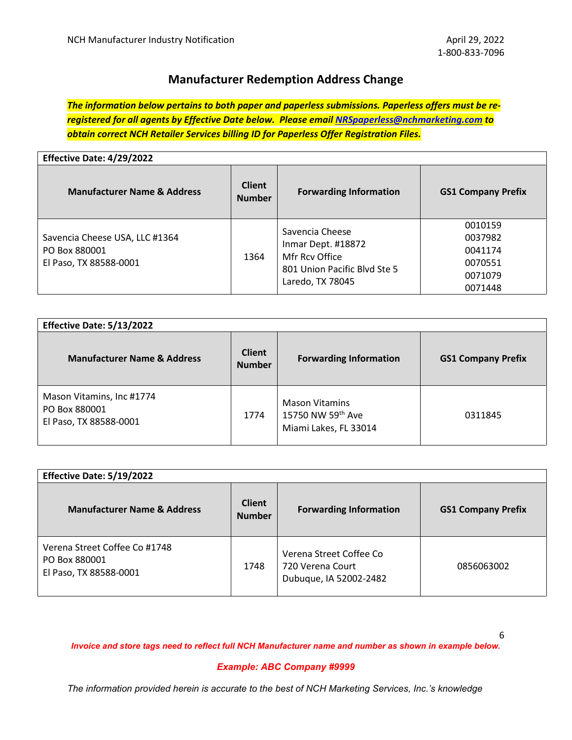# **Manufacturer Redemption Address Change**

*The information below pertains to both paper and paperless submissions. Paperless offers must be reregistered for all agents by Effective Date below. Please email [NRSpaperless@nchmarketing.com](mailto:NRSpaperless@nchmarketing.com) to obtain correct NCH Retailer Services billing ID for Paperless Offer Registration Files.*

| Effective Date: 4/29/2022                                                 |                                |                                                                                                             |                                                                |  |
|---------------------------------------------------------------------------|--------------------------------|-------------------------------------------------------------------------------------------------------------|----------------------------------------------------------------|--|
| <b>Manufacturer Name &amp; Address</b>                                    | <b>Client</b><br><b>Number</b> | <b>Forwarding Information</b>                                                                               | <b>GS1 Company Prefix</b>                                      |  |
| Savencia Cheese USA, LLC #1364<br>PO Box 880001<br>El Paso, TX 88588-0001 | 1364                           | Savencia Cheese<br>Inmar Dept. #18872<br>Mfr Rcy Office<br>801 Union Pacific Blvd Ste 5<br>Laredo, TX 78045 | 0010159<br>0037982<br>0041174<br>0070551<br>0071079<br>0071448 |  |

| Effective Date: 5/13/2022                                            |                                |                                                                     |                           |  |
|----------------------------------------------------------------------|--------------------------------|---------------------------------------------------------------------|---------------------------|--|
| <b>Manufacturer Name &amp; Address</b>                               | <b>Client</b><br><b>Number</b> | <b>Forwarding Information</b>                                       | <b>GS1 Company Prefix</b> |  |
| Mason Vitamins, Inc #1774<br>PO Box 880001<br>El Paso, TX 88588-0001 | 1774                           | <b>Mason Vitamins</b><br>15750 NW 59th Ave<br>Miami Lakes, FL 33014 | 0311845                   |  |

| Effective Date: 5/19/2022                                                |                                |                                                                       |                           |  |
|--------------------------------------------------------------------------|--------------------------------|-----------------------------------------------------------------------|---------------------------|--|
| <b>Manufacturer Name &amp; Address</b>                                   | <b>Client</b><br><b>Number</b> | <b>Forwarding Information</b>                                         | <b>GS1 Company Prefix</b> |  |
| Verena Street Coffee Co #1748<br>PO Box 880001<br>El Paso, TX 88588-0001 | 1748                           | Verena Street Coffee Co<br>720 Verena Court<br>Dubuque, IA 52002-2482 | 0856063002                |  |

*Invoice and store tags need to reflect full NCH Manufacturer name and number as shown in example below.*

#### *Example: ABC Company #9999*

*The information provided herein is accurate to the best of NCH Marketing Services, Inc.'s knowledge*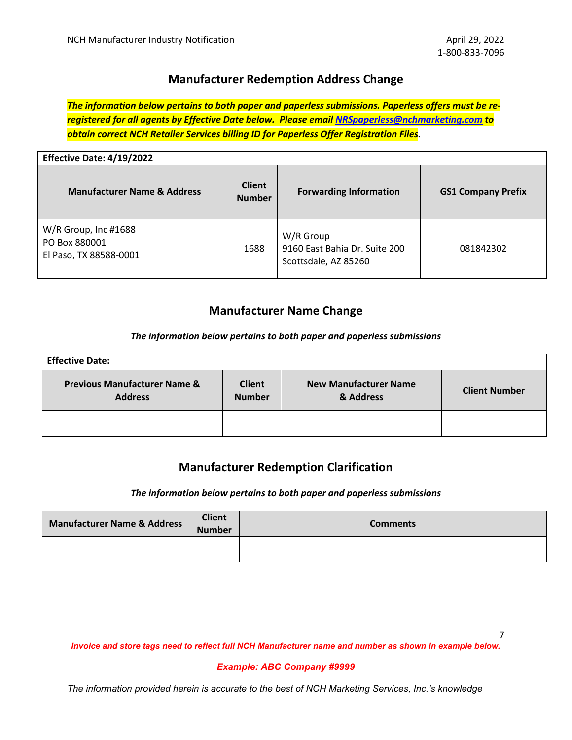# **Manufacturer Redemption Address Change**

*The information below pertains to both paper and paperless submissions. Paperless offers must be reregistered for all agents by Effective Date below. Please email [NRSpaperless@nchmarketing.com](mailto:NRSpaperless@nchmarketing.com) to obtain correct NCH Retailer Services billing ID for Paperless Offer Registration Files.*

| Effective Date: 4/19/2022                                       |                                |                                                                    |                           |  |
|-----------------------------------------------------------------|--------------------------------|--------------------------------------------------------------------|---------------------------|--|
| <b>Manufacturer Name &amp; Address</b>                          | <b>Client</b><br><b>Number</b> | <b>Forwarding Information</b>                                      | <b>GS1 Company Prefix</b> |  |
| W/R Group, Inc #1688<br>PO Box 880001<br>El Paso, TX 88588-0001 | 1688                           | W/R Group<br>9160 East Bahia Dr. Suite 200<br>Scottsdale, AZ 85260 | 081842302                 |  |

# **Manufacturer Name Change**

## *The information below pertains to both paper and paperless submissions*

| <b>Effective Date:</b>                                    |                                |                                           |                      |  |
|-----------------------------------------------------------|--------------------------------|-------------------------------------------|----------------------|--|
| <b>Previous Manufacturer Name &amp;</b><br><b>Address</b> | <b>Client</b><br><b>Number</b> | <b>New Manufacturer Name</b><br>& Address | <b>Client Number</b> |  |
|                                                           |                                |                                           |                      |  |

# **Manufacturer Redemption Clarification**

#### *The information below pertains to both paper and paperless submissions*

| Manufacturer Name & Address | <b>Client</b><br><b>Number</b> | <b>Comments</b> |
|-----------------------------|--------------------------------|-----------------|
|                             |                                |                 |

*Invoice and store tags need to reflect full NCH Manufacturer name and number as shown in example below.*

## *Example: ABC Company #9999*

*The information provided herein is accurate to the best of NCH Marketing Services, Inc.'s knowledge*